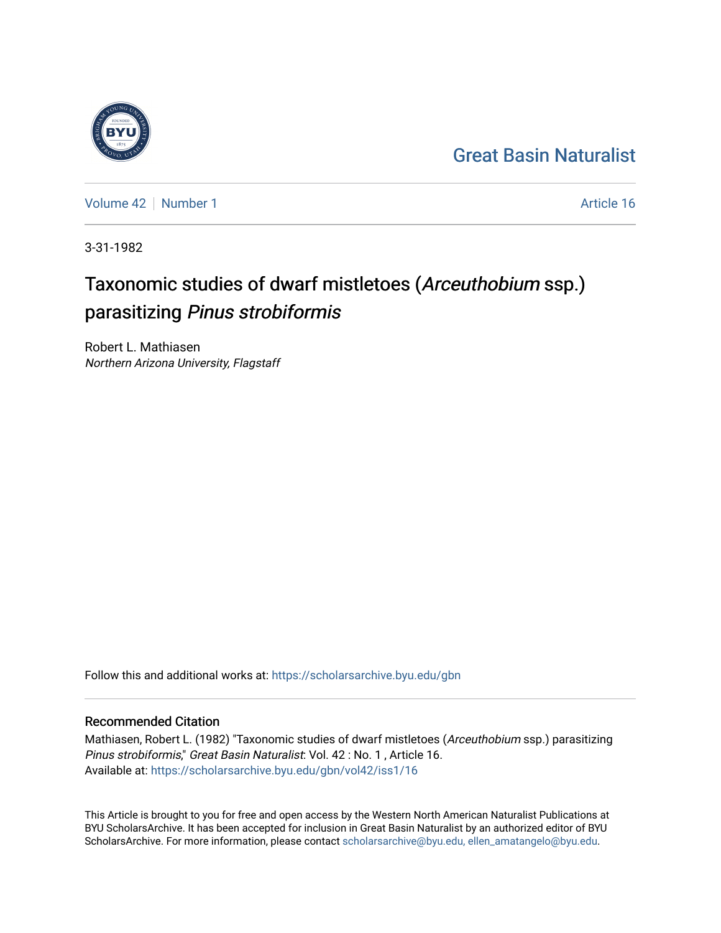### [Great Basin Naturalist](https://scholarsarchive.byu.edu/gbn)

[Volume 42](https://scholarsarchive.byu.edu/gbn/vol42) [Number 1](https://scholarsarchive.byu.edu/gbn/vol42/iss1) Article 16

3-31-1982

## Taxonomic studies of dwarf mistletoes (Arceuthobium ssp.) parasitizing Pinus strobiformis

Robert L. Mathiasen Northern Arizona University, Flagstaff

Follow this and additional works at: [https://scholarsarchive.byu.edu/gbn](https://scholarsarchive.byu.edu/gbn?utm_source=scholarsarchive.byu.edu%2Fgbn%2Fvol42%2Fiss1%2F16&utm_medium=PDF&utm_campaign=PDFCoverPages) 

### Recommended Citation

Mathiasen, Robert L. (1982) "Taxonomic studies of dwarf mistletoes (Arceuthobium ssp.) parasitizing Pinus strobiformis," Great Basin Naturalist: Vol. 42 : No. 1 , Article 16. Available at: [https://scholarsarchive.byu.edu/gbn/vol42/iss1/16](https://scholarsarchive.byu.edu/gbn/vol42/iss1/16?utm_source=scholarsarchive.byu.edu%2Fgbn%2Fvol42%2Fiss1%2F16&utm_medium=PDF&utm_campaign=PDFCoverPages) 

This Article is brought to you for free and open access by the Western North American Naturalist Publications at BYU ScholarsArchive. It has been accepted for inclusion in Great Basin Naturalist by an authorized editor of BYU ScholarsArchive. For more information, please contact [scholarsarchive@byu.edu, ellen\\_amatangelo@byu.edu.](mailto:scholarsarchive@byu.edu,%20ellen_amatangelo@byu.edu)

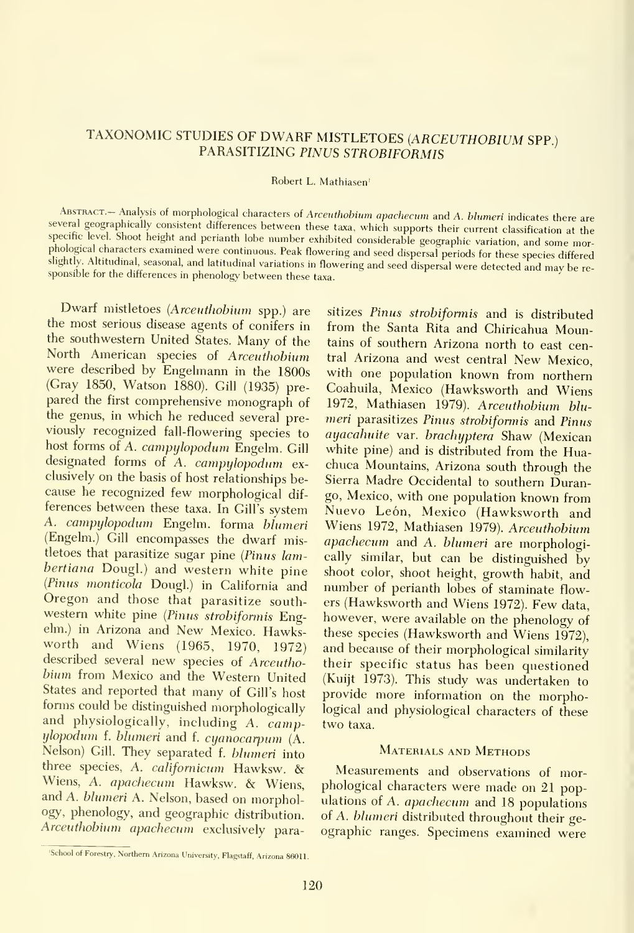# TAXONOMIC STUDIES OF DWARF MISTLETOES (ARCEUTHOBIUM SPP.)<br>PARASITIZING PINUS STROBIFORMIS

#### Robert L. Mathiasen'

ABSTRACT.- Analysis of morphological characters of Arceuthobium apachecum and A. blumeri indicates there are<br>several geographically consistent differences between these taxa, which supports their current classification at specific level. Shoot height and perianth lobe number exhibited considerable geographic variation, and some morphological characters examined were continuous. Peak flowermg and seed dispersal periods for these species differed slightly. Altitudinal, seasonal, and latitudinal variations in flowering and seed dispersal were detected and may be re-<br>sponsible for the differences in phenology between these taxa.

Dwarf mistletoes (Arceuthobium spp.) are the most serious disease agents of conifers in the southwestern United States. Many of the North American species of Arceuthobium were described by Engehnann in the 1800s (Gray 1850, Watson 1880). Gill (1935) pre pared the first comprehensive monograph of the genus, in which he reduced several previously recognized fall-flowering species to host forms of A. campylopodum Engelm. Gill designated forms of A. campylopodum ex clusively on the basis of host relationships be cause he recognized few morphological dif ferences between these taxa. In Gill's system A. campylopodum Engelm. forma blumeri (Engelm.) Gill encompasses the dwarf mistletoes that parasitize sugar pine {Pinus lambertiana Dougl.) and western white pine (Pinus monticola Dougl.) in California and Oregon and those that parasitize south western white pine (Pinus strobiformis Engelm.) in Arizona and New Mexico. Hawksworth and Wiens (1965, 1970, 1972) described several new species of Arceuthobium from Mexico and the Western United States and reported that many of Gill's host forms could be distinguished morphologically and physiologically, including A. campylopodum f. blumeri and f. cyanocarpum (A. Nelson) Gill. They separated f. blumeri into three species, A. californicum Hawksw. & Wiens, A. apachecum Hawksw. & Wiens, and A. blumeri A. Nelson, based on morphology, phenology, and geographic distribution. Arceuthobium apachecum exclusively para-

sitizes Pinus strobiformis and is distributed from the Santa Rita and Chiricahua Mountains of southern Arizona north to east central Arizona and west central New Mexico, with one population known from northern Coahuila, Mexico (Hawksworth and Wiens 1972, Mathiasen 1979). Arceuthobium blu meri parasitizes Pinus strobiformis and Pinus ayacahuite var. brachyptera Shaw (Mexican white pine) and is distributed from the Huachuca Mountains, Arizona south through the Sierra Madre Occidental to southern Durango, Mexico, with one population known from Nuevo León, Mexico (Hawksworth and Wiens 1972, Mathiasen 1979). Arceuthobium apachecum and A. blumeri are morphologically similar, but can be distinguished by shoot color, shoot height, growth habit, and number of perianth lobes of staminate flowers (Hawksworth and Wiens 1972). Few data, however, were available on the phenology of these species (Hawksworth and Wiens 1972), and because of their morphological similarity their specific status has been questioned (Kuijt 1973). This study was undertaken to provide more information on the morphological and physiological characters of these two taxa.

#### MATERIALS AND METHODS

Measurements and observations of morphological characters were made on 21 populations of A. apachecum and 18 populations of A. blumeri distributed throughout their ge ographic ranges. Specimens examined were

<sup>&#</sup>x27;School of Forestry, Northern Arizona University, Flagstaff, Arizona 86011.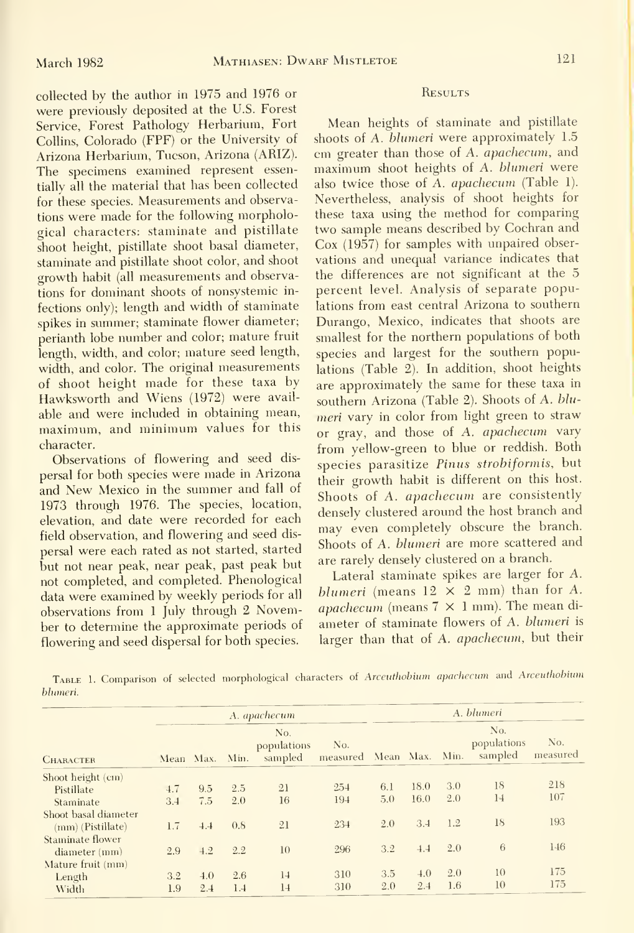collected by the author in 1975 and 1976 or were previously deposited at the U.S. Forest Service, Forest Pathology Herbarium, Fort Collins, Colorado (FPF) or the University of Arizona Herbarium, Tucson, Arizona (ARIZ). The specimens examined represent essentially all the material that has been collected for these species. Measurements and observations were made for the following morphological characters: staminate and pistillate shoot height, pistillate shoot basal diameter, staminate and pistillate shoot color, and shoot growth habit (all measurements and observations for dominant shoots of nonsystemic in fections only); length and width of staminate spikes in summer; staminate flower diameter; perianth lobe number and color; mature fruit length, width, and color; mature seed length, width, and color. The original measurements of shoot height made for these taxa by Hawksworth and Wiens (1972) were avail able and were included in obtaining mean, maximum, and minimum values for this character.

Observations of flowering and seed dis persal for both species were made in Arizona and New Mexico in the summer and fall of 1973 through 1976. The species, location, elevation, and date were recorded for each field observation, and flowering and seed dis persal were each rated as not started, started but not near peak, near peak, past peak but not completed, and completed. Phenological data were examined by weekly periods for all observations from <sup>1</sup> July through <sup>2</sup> November to determine the approximate periods of flowering and seed dispersal for both species.

#### **RESULTS**

Mean heights of staminate and pistillate shoots of A. blumeri were approximately 1.5 cm greater than those of A. apachecum, and maximum shoot heights of A. blumeri were also twice those of A. apachecum (Table 1). Nevertheless, analysis of shoot heights for these taxa using the method for comparing two sample means described by Cochran and Cox (1957) for samples with unpaired obser vations and unequal variance indicates that the differences are not significant at the 5 percent level. Analysis of separate populations from east central Arizona to southern Durango, Mexico, indicates that shoots are smallest for the northern populations of both species and largest for the southern populations (Table 2). In addition, shoot heights are approximately the same for these taxa in southern Arizona (Table 2). Shoots of A. blu meri vary in color from light green to straw or gray, and those of A. apachecum vary from yellow-green to blue or reddish. Both species parasitize Pinus strobiformis, but their growth habit is different on this host. Shoots of A. apachecum are consistently densely clustered around the host branch and may even completely obscure the branch. Shoots of A. blumeri are more scattered and are rarely densely clustered on a branch.

Lateral staminate spikes are larger for A. blumeri (means  $12 \times 2$  mm) than for A. apachecum (means  $7 \times 1$  mm). The mean diameter of staminate flowers of A. blumeri is larger than that of A. apachecum, but their

TABLE 1. Comparison of selected morphological characters of Arceuthobium apachecum and Arceuthobium blumeri.

|                      | A. apachecum |                |     |                               |                                | A. blumeri |      |     |                               |                 |
|----------------------|--------------|----------------|-----|-------------------------------|--------------------------------|------------|------|-----|-------------------------------|-----------------|
| <b>CHARACTER</b>     |              | Mean Max. Min. |     | No.<br>populations<br>sampled | No.<br>measured Mean Max. Min. |            |      |     | No.<br>populations<br>sampled | No.<br>measured |
| Shoot height (cm)    |              |                |     |                               |                                |            |      |     |                               |                 |
| Pistillate           | 4.7          | 9.5            | 2.5 | 21                            | 254                            | 6.1        | 18.0 | 3.0 | 18                            | 218             |
| Staminate            | 3.4          | 7.5            | 2.0 | 16                            | 194                            | 5,0        | 16.0 | 2.0 | 14                            | 107             |
| Shoot basal diameter |              |                |     |                               |                                |            |      |     |                               |                 |
| $(mm)$ (Pistillate)  | 1.7          | 4.4            | 0.8 | 21                            | 234                            | 2.0        | 3.4  | 1.2 | 18                            | 193             |
| Staminate flower     |              |                |     |                               |                                |            |      |     |                               |                 |
| $diameter$ (mm)      | 2.9          | 4.2            | 2.2 | 10                            | 296                            | 3.2        | 4.4  | 2.0 | 6                             | 146             |
| Mature fruit (mm)    |              |                |     |                               |                                |            |      |     |                               |                 |
| Length               | 3.2          | 4.0            | 2.6 | 14                            | 310                            | 3.5        | 4.0  | 2.0 | 10                            | 175             |
| Width                | 1.9          | 2.4            | 1.4 | 14                            | 310                            | 2.0        | 2.4  | 1.6 | 10                            | 175             |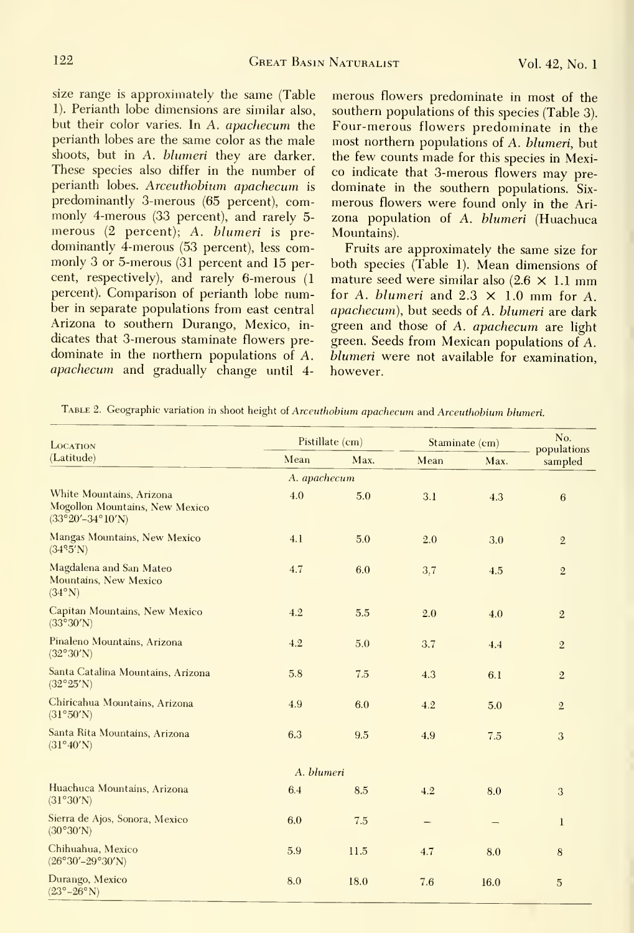size range is approximately the same (Table 1). Perianth lobe dimensions are similar also, but their color varies. In A. apachecum the perianth lobes are the same color as the male shoots, but in A. blumeri they are darker. These species also differ in the number of perianth lobes. Arceuthobium apachecum is predominantly 3-merous (65 percent), commonly 4-merous (33 percent), and rarely 5 merous (2 percent); A. blumeri is pre dominantly 4-merous (53 percent), less commonly 3 or 5-merous (31 percent and 15 percent, respectively), and rarely 6-merous (1 percent). Comparison of perianth lobe number in separate populations from east central Arizona to southern Durango, Mexico, in dicates that 3-merous staminate flowers pre dominate in the northern populations of A. apachecum and gradually change until 4merous flowers predominate in most of the southern populations of this species (Table 3). Four-merous flowers predominate in the most northern populations of A. blumeri, but the few counts made for this species in Mexico indicate that 3-merous flowers may pre dominate in the southern populations. Six merous flowers were found only in the Ari zona population of A. blumeri (Huachuca Mountains).

Fruits are approximately the same size for both species (Table 1). Mean dimensions of mature seed were similar also  $(2.6 \times 1.1 \text{ mm})$ for A. blumeri and  $2.3 \times 1.0$  mm for A. apachecum), but seeds of A. blumeri are dark green and those of A. apachecum are light green. Seeds from Mexican populations of A. blumeri were not available for examination, however.

| LOCATION                                                                                         | Pistillate (cm) |      | Staminate (cm) | No.  |                        |
|--------------------------------------------------------------------------------------------------|-----------------|------|----------------|------|------------------------|
| (Latitude)                                                                                       | Mean            | Max. | Mean           | Max. | populations<br>sampled |
|                                                                                                  | A. apachecum    |      |                |      |                        |
| White Mountains, Arizona<br>Mogollon Mountains, New Mexico<br>$(33^{\circ}20' - 34^{\circ}10'N)$ | 4.0             | 5.0  | 3.1            | 4.3  | 6                      |
| Mangas Mountains, New Mexico<br>(34°5'N)                                                         | 4.1             | 5.0  | 2.0            | 3.0  | $\sqrt{2}$             |
| Magdalena and San Mateo<br>Mountains, New Mexico<br>$(34^{\circ}N)$                              | 4.7             | 6.0  | 3.7            | 4.5  | $\overline{2}$         |
| Capitan Mountains, New Mexico<br>(33°30'N)                                                       | 4.2             | 5.5  | 2.0            | 4.0  | $\sqrt{2}$             |
| Pinaleno Mountains, Arizona<br>(32°30'N)                                                         | 4.2             | 5.0  | 3.7            | 4.4  | $\mathbf{2}$           |
| Santa Catalina Mountains, Arizona<br>$(32^{\circ}25'N)$                                          | 5.8             | 7.5  | 4.3            | 6.1  | $\overline{2}$         |
| Chiricahua Mountains, Arizona<br>(31°50'N)                                                       | 4.9             | 6.0  | 4.2            | 5.0  | $\overline{2}$         |
| Santa Rita Mountains, Arizona<br>(31°40'N)                                                       | 6.3             | 9.5  | 4.9            | 7.5  | 3                      |
|                                                                                                  | A. blumeri      |      |                |      |                        |
| Huachuca Mountains, Arizona<br>(31°30'N)                                                         | 6.4             | 8.5  | 4.2            | 8.0  | 3                      |
| Sierra de Ajos, Sonora, Mexico<br>(30°30'N)                                                      | 6.0             | 7.5  |                |      | $\bf{l}$               |
| Chihuahua, Mexico<br>$(26°30' - 29°30'N)$                                                        | 5.9             | 11.5 | 4.7            | 8.0  | 8                      |
| Durango, Mexico<br>$(23^{\circ}-26^{\circ}N)$                                                    | 8.0             | 18.0 | 7.6            | 16.0 | 5                      |

TABLE 2. Geographic variation in shoot height of Arceuthobium apachecum and Arceuthobium blumeri.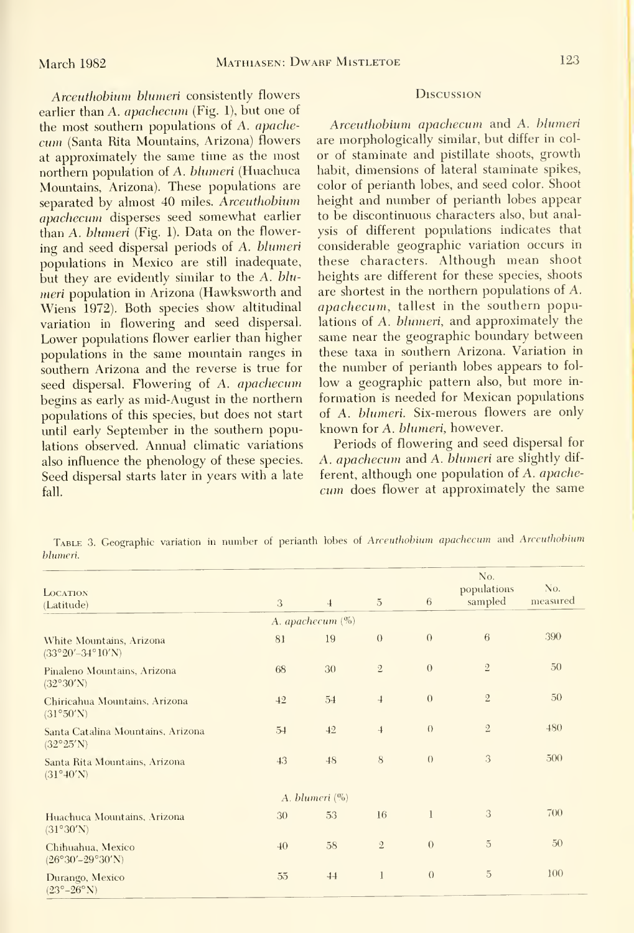Arceuthobium blumeri consistently flowers earlier than A. apachecum (Fig. 1), but one of the most southern populations of A. apache cum (Santa Rita Mountains, Arizona) flowers at approximately the same time as the most northern population of A. blumeri (Huachuca Mountains, Arizona). These populations are separated by almost 40 miles. Arceuthobium apachecum disperses seed somewhat earlier than A. blumeri (Fig. 1). Data on the flowering and seed dispersal periods of A. blumeri populations in Mexico are still inadequate, but they are evidently similar to the A.  $blu$ meri population in Arizona (Hawksworth and Wiens 1972). Both species show altitudinal variation in flowering and seed dispersal. Lower populations flower earlier than higher populations in the same mountain ranges in southern Arizona and the reverse is true for seed dispersal. Flowering of A. apachecum begins as early as mid-August in the northern populations of this species, but does not start until early September in the southern populations observed. Annual climatic variations also influence the phenology of these species. Seed dispersal starts later in years with a late fall.

#### **Discussion**

Arceuthobium apachecum and A. blumeri are morphologically similar, but differ in col or of staminate and pistillate shoots, growth habit, dimensions of lateral staminate spikes, color of perianth lobes, and seed color. Shoot height and number of perianth lobes appear to be discontinuous characters also, but analysis of different populations indicates that considerable geographic variation occurs in these characters. Although mean shoot heights are different for these species, shoots are shortest in the northern populations of A. apachecum, tallest in the southern populations of A. blumeri, and approximately the same near the geographic boundary between these taxa in southern Arizona. Variation in the number of perianth lobes appears to fol low <sup>a</sup> geographic pattern also, but more in formation is needed for Mexican populations of A. blumeri. Six-merous flowers are only known for A. blumeri, however.

Periods of flowering and seed dispersal for A. apachecum and A. blumeri are slightly dif ferent, although one population of A. apache cum does flower at approximately the same

TABLE 3. Geographic variation in number of perianth lobes of Arceuthobium apachecum and Arceuthobium bhimeri.

| LOCATION                                                       |              |                     |                |                | No.<br>populations | No.<br>measured |
|----------------------------------------------------------------|--------------|---------------------|----------------|----------------|--------------------|-----------------|
| (Latitude)                                                     | 3            | $\overline{4}$      | $\overline{5}$ | 6              | sampled            |                 |
|                                                                |              | A. apachecum $(\%)$ |                |                |                    |                 |
| White Mountains, Arizona<br>$(33^{\circ}20' - 34^{\circ}10'N)$ | 81           | 19                  | $\theta$       | $\theta$       | 6                  | 390             |
| Pinaleno Mountains, Arizona<br>(32°30'N)                       | 68           | 30                  | $\sqrt{2}$     | $\theta$       | $\sqrt{2}$         | 50              |
| Chiricahua Mountains, Arizona<br>(31°50'N)                     | 42           | 54                  | $\overline{1}$ | $\overline{0}$ | $\mathbf{2}$       | 50              |
| Santa Catalina Mountains, Arizona<br>$(32^{\circ}25'N)$        | 54           | 42                  | $\overline{4}$ | $\Omega$       | $\sqrt{2}$         | 480             |
| Santa Rita Mountains, Arizona<br>$(31^{\circ}40'N)$            | 43           | 48                  | 8              | $\theta$       | 3                  | 500             |
|                                                                |              | A. blumeri $(\%)$   |                |                |                    |                 |
| Huachuca Mountains, Arizona<br>(31°30'N)                       | 30           | 53                  | 16             | $\mathbf{1}$   | 3                  | 700             |
| Chihuahua, Mexico<br>$(26°30' - 29°30' N)$                     | $40^{\circ}$ | 58                  | $\overline{2}$ | $\theta$       | 5                  | 50              |
| Durango, Mexico<br>$(23^{\circ}-26^{\circ}N)$                  | 55           | 44                  | $\mathbf{1}$   | $\theta$       | 5                  | 100             |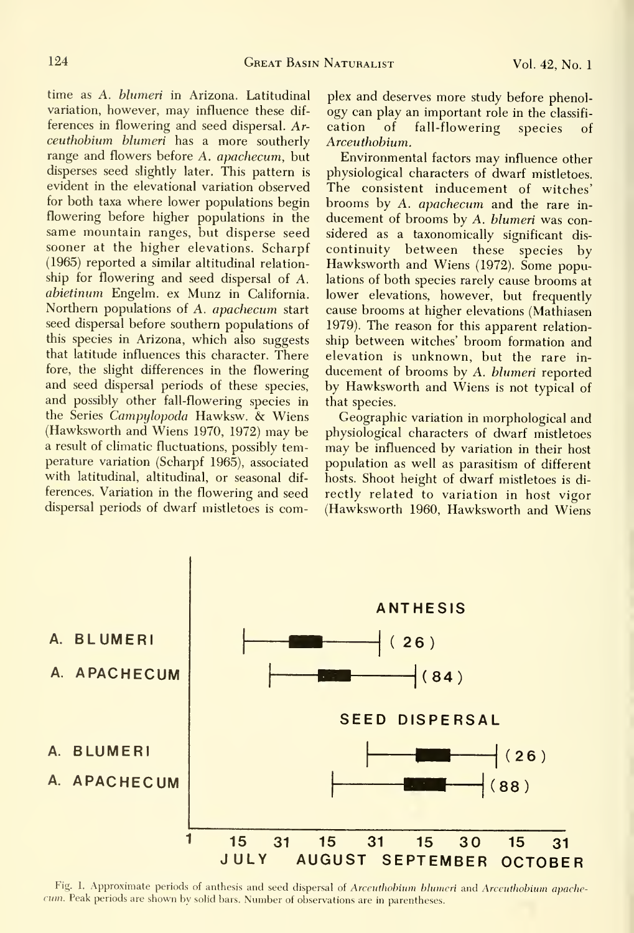time as A. blumeri in Arizona. Latitudinal variation, however, may influence these dif ferences in flowering and seed dispersal. Ar- cation ceuthohium blumeri has a more southerly range and flowers before A. apachecum, but disperses seed slightly later. This pattern is evident in the elevational variation observed for both taxa where lower populations begin flowering before higher populations in the same mountain ranges, but disperse seed sooner at the higher elevations. Scharpf (1965) reported a similar altitudinal relation ship for flowering and seed dispersal of A. abietinum Engelm. ex Munz in California. Northern populations of A. apachecum start seed dispersal before southern populations of this species in Arizona, which also suggests that latitude influences this character. There fore, the slight differences in the flowering and seed dispersal periods of these species, and possibly other fall-flowering species in the Series Campyhpoda Hawksw. & Wiens (Hawksworth and Wiens 1970, 1972) may be a result of climatic fluctuations, possibly temperature variation (Scharpf 1965), associated with latitudinal, altitudinal, or seasonal dif ferences. Variation in the flowering and seed dispersal periods of dwarf mistletoes is com-

plex and deserves more study before phenology can play an important role in the classifi of fall-flowering species of Arceuthobium.

Environmental factors may influence other physiological characters of dwarf mistletoes. The consistent inducement of witches' brooms by A. apachecum and the rare in ducement of brooms by A. blumeri was considered as a taxonomically significant dis continuity between these species by Hawksworth and Wiens (1972). Some populations of both species rarely cause brooms at lower elevations, however, but frequently cause brooms at higher elevations (Mathiasen 1979). The reason for this apparent relation ship between witches' broom formation and elevation is unknown, but the rare in ducement of brooms by A. blumeri reported by Hawksworth and Wiens is not typical of that species.

Geographic variation in morphological and physiological characters of dwarf mistletoes may be influenced by variation in their host population as well as parasitism of different hosts. Shoot height of dwarf mistletoes is di rectly related to variation in host vigor (Hawksworth 1960, Hawksworth and Wiens



Fig. 1. Approximate periods of anthesis and seed dispersal of Arceuthobium blumeri and Arceuthobium apachecum. Peak periods are shown by solid bars. Number of observations are in parentheses.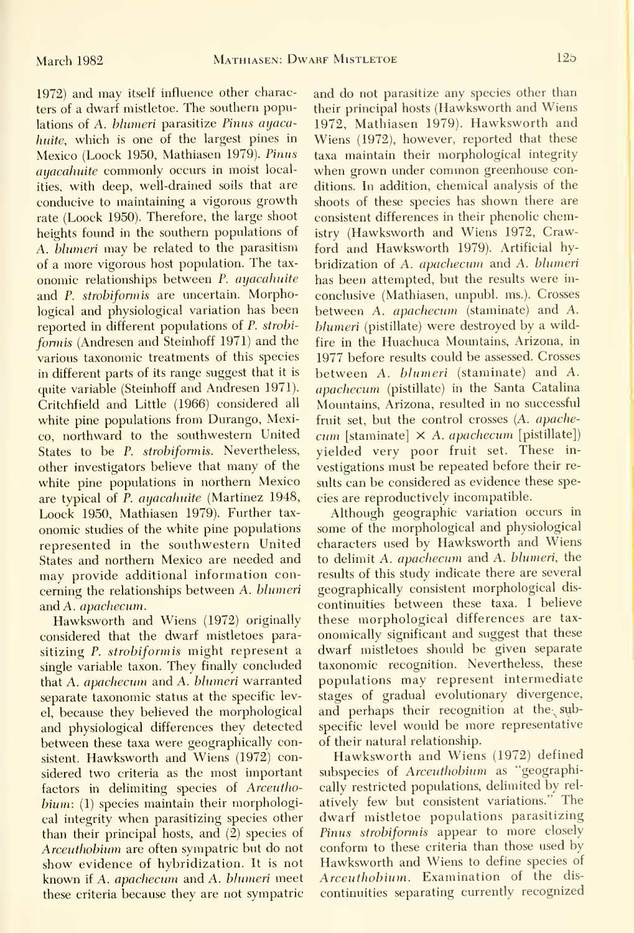1972) and may itself influence other characters of a dwarf mistletoe. The southern populations of A. blumeri parasitize Pinus ayacahuite, which is one of the largest pines in Mexico (Loock 1950, Mathiasen 1979). Pimis ayacahuite commonly occurs in moist localities, with deep, well-drained soils that are conducive to maintaining a vigorous growth rate (Loock 1950). Therefore, the large shoot heights found in the southern populations of A. blumeri may be related to the parasitism of a more vigorous host population. The tax onomic relationships between P. ayacahuite and P. strobiformis are uncertain. Morphological and physiological variation has been reported in different populations of P. strobi formis (Andresen and Steinhoff 1971) and the various taxonomic treatments of this species in different parts of its range suggest that it is quite variable (Steinhoff and Andresen 1971). Critchfield and Little (1966) considered all white pine populations from Durango, Mexico, northward to the southwestern United States to be P. strobiformis. Nevertheless, other investigators believe that many of the white pine populations in northern Mexico are typical of P. ayacahuite (Martinez 1948, Loock 1950, Mathiasen 1979). Further tax onomic studies of the white pine populations represented in the southwestern United States and northern Mexico are needed and may provide additional information concerning the relationships between A. blumeri and A. apachecum.

Hawksworth and Wiens (1972) originally considered that the dwarf mistletoes parasitizing P. strobiformis might represent a single variable taxon. They finally concluded that A. apachecum and A. blumeri warranted separate taxonomic status at the specific level, because they believed the morphological and physiological differences they detected between these taxa were geographically consistent. Hawksworth and Wiens (1972) considered two criteria as the most important factors in delimiting species of Arceuthobium: (1) species maintain their morphological integrity when parasitizing species other than their principal hosts, and (2) species of Arceuthobium are often sympatric but do not show evidence of hybridization. It is not known if A. apachecum and A. blumeri meet these criteria because they are not sympatric

and do not parasitize any species other than their principal hosts (Hawksworth and Wiens 1972, Mathiasen 1979). Hawksworth and Wiens (1972), however, reported that these taxa maintain their morphological integrity when grown under common greenhouse conditions. In addition, chemical analysis of the shoots of these species has shown there are consistent differences in their phenolic chemistry (Hawksworth and Wiens 1972, Crawford and Hawksworth 1979). Artificial hybridization of A. apachecum and A. blumeri has been attempted, but the results were in conclusive (Mathiasen, unpubl. ms.). Crosses between A. apachecum (staminate) and A. blumeri (pistillate) were destroyed by a wildfire in the Huachuca Mountains, Arizona, in 1977 before results could be assessed. Crosses between A. blumeri (staminate) and A. apachecum (pistillate) in the Santa Catalina Mountains, Arizona, resulted in no successful fruit set, but the control crosses (A. apache  $cum$  [staminate]  $\times$  A. apachecum [pistillate]) yielded very poor fruit set. These in vestigations must be repeated before their re sults can be considered as evidence these species are reproductively incompatible.

Although geographic variation occurs in some of the morphological and physiological characters used by Hawksworth and Wiens to delimit A. apachecum and A. blumeri, the results of this study indicate there are several geographically consistent morphological dis continuities between these taxa. <sup>I</sup> believe these morphological differences are tax onomically significant and suggest that these dwarf mistletoes should be given separate taxonomic recognition. Nevertheless, these populations may represent intermediate stages of gradual evolutionary divergence, and perhaps their recognition at the sybspecific level would be more representative of their natural relationship.

Hawksworth and Wiens (1972) defined subspecies of Arceuthobium as "geographically restricted populations, delimited by rel atively few but consistent variations." The dwarf mistletoe populations parasitizing Pinus strobiformis appear to more closely conform to these criteria than those used by Hawksworth and Wiens to define species of Arceuthobium. Examination of the dis continuities separating currently recognized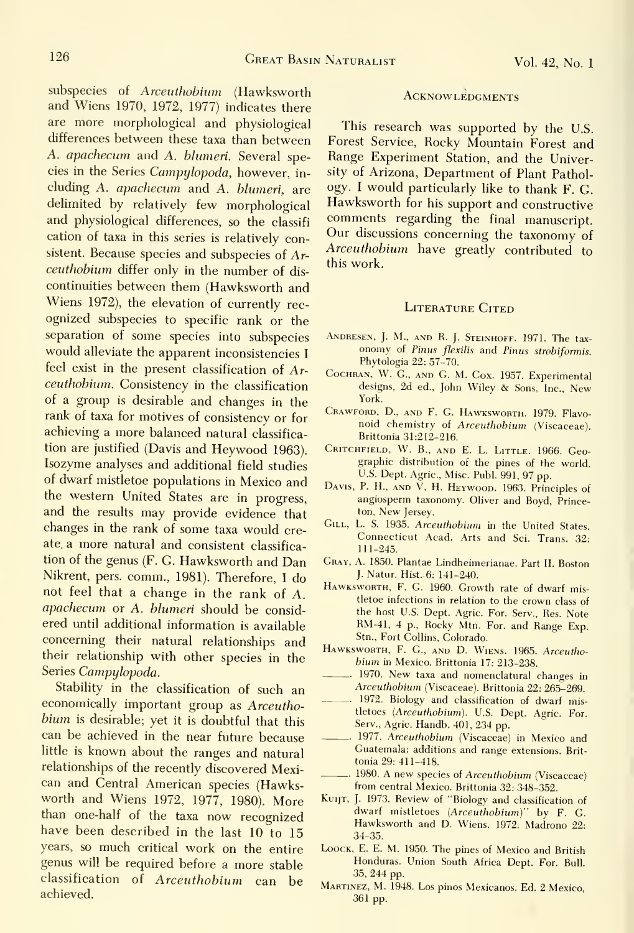subspecies of Arceuthobium (Hawksworth and Wiens 1970, 1972, 1977) indicates there are more morphological and physiological differences between these taxa than between A. apachecum and A. blumeri. Several species in the Series Campylopoda, however, in cluding A. apachecum and A. blumeri, are delimited by relatively few morphological and physiological differences, so the classifi cation of taxa in this series is relatively consistent. Because species and subspecies of Arceuthobium differ only in the number of dis continuities between them (Hawksworth and Wiens 1972), the elevation of currently rec ognized subspecies to specific rank or the separation of some species into subspecies ANDRESEN, J. M., AND R. J. STEINHOFF. 1971. The taxwould alleviate the apparent inconsistencies <sup>I</sup> feel exist in the present classification of Ar ceuthobium. Consistency in the classification of a group is desirable and changes in the rank of taxa for motives of consistency or for achieving a more balanced natural classifica tion are justified (Davis and Heywood 1963). Isozyme analyses and additional field studies of dwarf mistletoe populations in Mexico and the western United States are in progress, and the results may provide evidence that changes in the rank of some taxa would create, a more natural and consistent classifica tion of the genus (F. G. Hawksworth and Dan Nikrent, pers. comm., 1981). Therefore, <sup>I</sup> do not feel that a change in the rank of A. apachecum or A. blumeri should be considered until additional information is available concerning their natural relationships and their relationship with other species in the Series Campylopoda.

Stability in the classification of such an economically important group as Arceuthobium is desirable; yet it is doubtful that this can be achieved in the near future because little is known about the ranges and natural relationships of the recently discovered Mexican and Central American species (Hawksworth and Wiens 1972, 1977, 1980). More than one-half of the taxa now recognized have been described in the last 10 to 15 years, so much critical work on the entire genus will be required before a more stable classification of Arceuthobium can be achieved.

#### **ACKNOWLEDGMENTS**

This research was supported by the U.S. Forest Service, Rocky Mountain Forest and Range Experiment Station, and the University of Arizona, Department of Plant Pathology. <sup>I</sup> would particularly like to thank F. G. Hawksworth for his support and constructive comments regarding the final manuscript. Our discussions concerning the taxonomy of Arceuthobium have greatly contributed to this work.

#### LITERATURE CITED

- onomy of Pinus flexilis and Pinus strobiformis. Phytologia 22: 57-70.
- Cochran, W. G., and G. M. Cox. 1957. Experimental designs, 2d ed., John Wiley & Sons, Inc., New York.
- Crawford, D., and F. G. Hawksworth. 1979. Flavo noid chemistry of Arceuthobium (Viscaceae). Brittonia 31:212-216.
- Critchfield, W. B., and E. L. Little. 1966. Geographic distribution of the pines of the world. U.S. Dept. Agric, Misc. Publ. 991, 97 pp.
- Davis, P. H., and V. H. Heywood. 1963. Principles of angiosperm taxonomy. Oliver and Boyd, Princeton, New Jersey.
- GILL, L. S. 1935. Arceuthobium in the United States. Connecticut Acad. Arts and Sci. Trans. 32: 111-245.
- Gray, A. 1850. Plantae Lindheimerianae. Part II. Boston J. Natur. Hist. 6: 141-240.
- Hawksworth, F. G. I960. Growth rate of dwarf mistletoe infections in relation to the crown class of the host U.S. Dept. Agric. For. Serv., Res. Note RM-41, 4 p.. Rocky Mtn. For. and Range Exp. Stn., Fort Collins, Colorado.
- HAWKSWORTH, F. G., AND D. WIENS. 1965. Arceuthobium in Mexico. Brittonia 17: 213-238.
- ... 1970. New taxa and nomenclatural changes in Arceuthobium (Viscaceae). Brittonia 22: 265-269.
- 1972. Biology and classification of dwarf mistletoes (Arceuthobium). U.S. Dept. Agric. For. Serv., Agric. Handb. 401, 234 pp.
- 1977. Arceuthobium (Viscaceae) in Mexico and Guatemala: additions and range extensions. Brit tonia 29: 411-418.
- 1980. A new species of Arceuthobium (Viscaceae) from central Mexico. Brittonia 32: 348-352.
- Kuijt, J. 1973. Review of "Biology and classification of dwarf mistletoes (Arceuthobium)" by F. G. Hawksworth and D. Wiens. 1972. Madrono 22: 34-35.
- LoocK, E. E. M. 1950. The pines of Mexico and British Honduras. Union South Africa Dept. For. Bull. 35, 244 pp.
- Martinez, M. 1948. Los pinos Mexicanos. Ed. 2 Mexico, 361 pp.